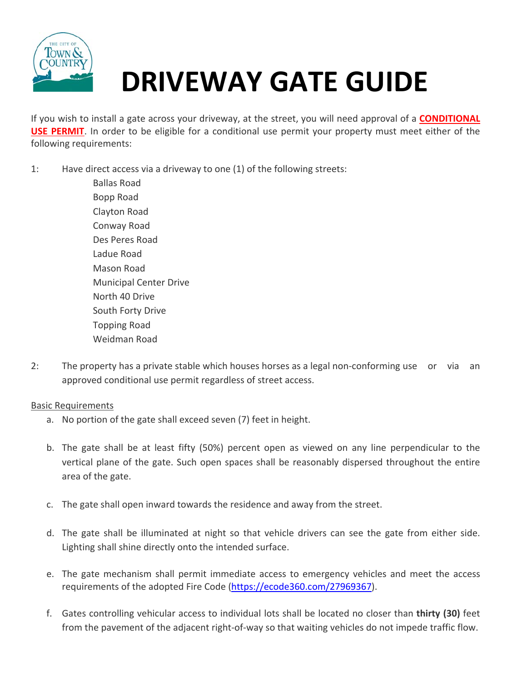

## **DRIVEWAY GATE GUIDE**

If you wish to install a gate across your driveway, at the street, you will need approval of a **CONDITIONAL USE PERMIT**. In order to be eligible for a conditional use permit your property must meet either of the following requirements:

1: Have direct access via a driveway to one (1) of the following streets:

 Ballas Road Bopp Road Clayton Road Conway Road Des Peres Road Ladue Road Mason Road Municipal Center Drive North 40 Drive South Forty Drive Topping Road Weidman Road

2: The property has a private stable which houses horses as a legal non-conforming use or via an approved conditional use permit regardless of street access.

## Basic Requirements

- a. No portion of the gate shall exceed seven (7) feet in height.
- b. The gate shall be at least fifty (50%) percent open as viewed on any line perpendicular to the vertical plane of the gate. Such open spaces shall be reasonably dispersed throughout the entire area of the gate.
- c. The gate shall open inward towards the residence and away from the street.
- d. The gate shall be illuminated at night so that vehicle drivers can see the gate from either side. Lighting shall shine directly onto the intended surface.
- e. The gate mechanism shall permit immediate access to emergency vehicles and meet the access requirements of the adopted Fire Code (https://ecode360.com/27969367).
- f. Gates controlling vehicular access to individual lots shall be located no closer than **thirty (30)** feet from the pavement of the adjacent right-of-way so that waiting vehicles do not impede traffic flow.